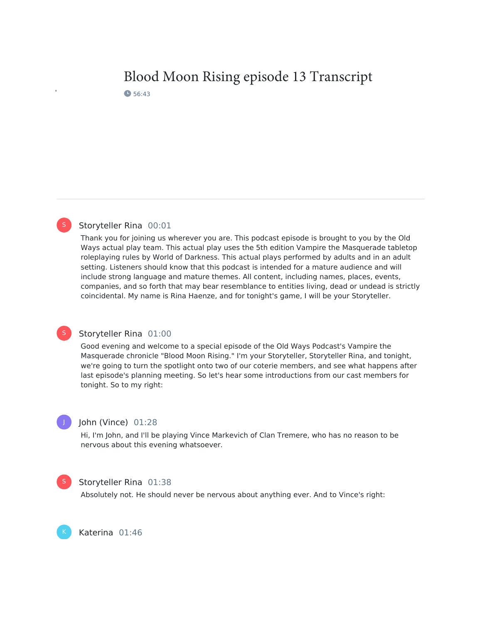# Blood Moon Rising episode 13 Transcript 6 56:43

# Storyteller Rina 00:01

Thank you for joining us wherever you are. This podcast episode is brought to you by the Old Ways actual play team. This actual play uses the 5th edition Vampire the Masquerade tabletop roleplaying rules by World of Darkness. This actual plays performed by adults and in an adult setting. Listeners should know that this podcast is intended for a mature audience and will include strong language and mature themes. All content, including names, places, events, companies, and so forth that may bear resemblance to entities living, dead or undead is strictly coincidental. My name is Rina Haenze, and for tonight's game, I will be your Storyteller.

## Storyteller Rina 01:00

Good evening and welcome to a special episode of the Old Ways Podcast's Vampire the Masquerade chronicle "Blood Moon Rising." I'm your Storyteller, Storyteller Rina, and tonight, we're going to turn the spotlight onto two of our coterie members, and see what happens after last episode's planning meeting. So let's hear some introductions from our cast members for tonight. So to my right:

# J

S

S

## John (Vince) 01:28

Hi, I'm John, and I'll be playing Vince Markevich of Clan Tremere, who has no reason to be nervous about this evening whatsoever.

# S

K

#### Storyteller Rina 01:38

Absolutely not. He should never be nervous about anything ever. And to Vince's right:

Katerina 01:46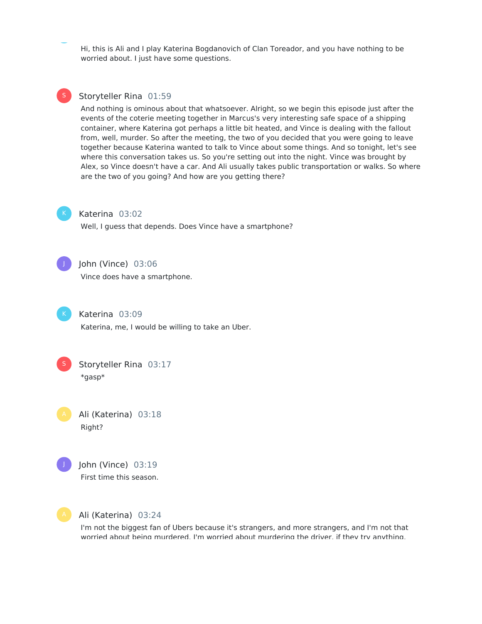Hi, this is Ali and I play Katerina Bogdanovich of Clan Toreador, and you have nothing to be worried about. I just have some questions.

# Storyteller Rina 01:59

And nothing is ominous about that whatsoever. Alright, so we begin this episode just after the events of the coterie meeting together in Marcus's very interesting safe space of a shipping container, where Katerina got perhaps a little bit heated, and Vince is dealing with the fallout from, well, murder. So after the meeting, the two of you decided that you were going to leave together because Katerina wanted to talk to Vince about some things. And so tonight, let's see where this conversation takes us. So you're setting out into the night. Vince was brought by Alex, so Vince doesn't have a car. And Ali usually takes public transportation or walks. So where are the two of you going? And how are you getting there?



S

#### Katerina 03:02

Well, I guess that depends. Does Vince have a smartphone?



# John (Vince) 03:06

Vince does have a smartphone.



Katerina 03:09

Katerina, me, I would be willing to take an Uber.



Storyteller Rina 03:17 \*gasp\*

Ali (Katerina) 03:18 Right?







Ali (Katerina) 03:24

I'm not the biggest fan of Ubers because it's strangers, and more strangers, and I'm not that worried about being murdered. I'm worried about murdering the driver, if they try anything.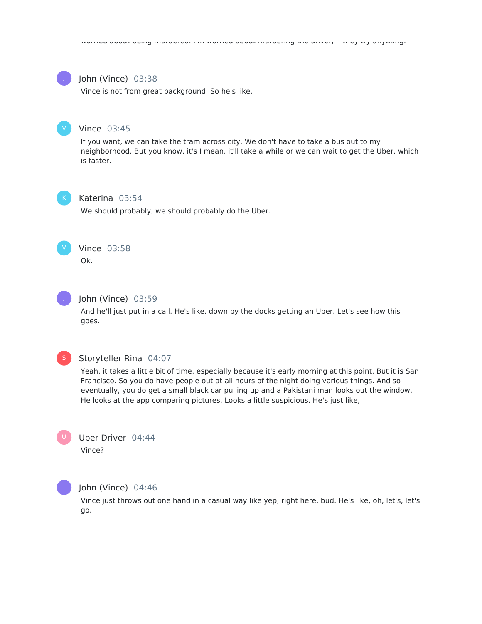

#### John (Vince) 03:38

Vince is not from great background. So he's like,



#### Vince 03:45

If you want, we can take the tram across city. We don't have to take a bus out to my neighborhood. But you know, it's I mean, it'll take a while or we can wait to get the Uber, which is faster.



#### Katerina 03:54

We should probably, we should probably do the Uber.



# Vince 03:58

Ok.



#### John (Vince) 03:59

And he'll just put in a call. He's like, down by the docks getting an Uber. Let's see how this goes.



#### Storyteller Rina 04:07

Yeah, it takes a little bit of time, especially because it's early morning at this point. But it is San Francisco. So you do have people out at all hours of the night doing various things. And so eventually, you do get a small black car pulling up and a Pakistani man looks out the window. He looks at the app comparing pictures. Looks a little suspicious. He's just like,





#### John (Vince) 04:46

Vince just throws out one hand in a casual way like yep, right here, bud. He's like, oh, let's, let's go.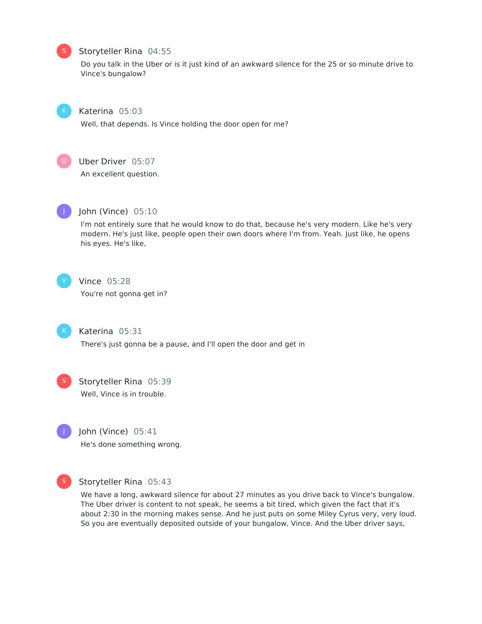#### Storyteller Rina 04:55

Do you talk in the Uber or is it just kind of an awkward silence for the 25 or so minute drive to Vince's bungalow?



S

#### Katerina 05:03

Well, that depends. Is Vince holding the door open for me?



# Uber Driver 05:07

An excellent question.



#### John (Vince) 05:10

I'm not entirely sure that he would know to do that, because he's very modern. Like he's very modern. He's just like, people open their own doors where I'm from. Yeah. Just like, he opens his eyes. He's like,



# Vince 05:28

You're not gonna get in?



#### Katerina 05:31

There's just gonna be a pause, and I'll open the door and get in



# Storyteller Rina 05:39 Well, Vince is in trouble.



# John (Vince) 05:41 He's done something wrong.



## Storyteller Rina 05:43

We have a long, awkward silence for about 27 minutes as you drive back to Vince's bungalow. The Uber driver is content to not speak, he seems a bit tired, which given the fact that it's about 2:30 in the morning makes sense. And he just puts on some Miley Cyrus very, very loud. So you are eventually deposited outside of your bungalow, Vince. And the Uber driver says,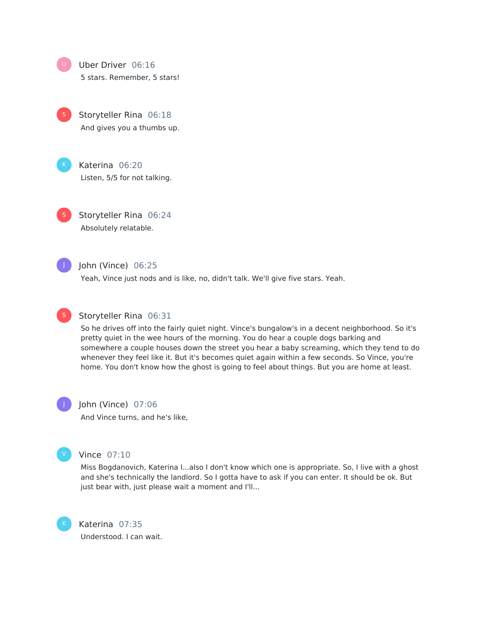Uber Driver 06:16

5 stars. Remember, 5 stars!

Storyteller Rina 06:18 And gives you a thumbs up. S

Katerina 06:20 Listen, 5/5 for not talking.

Storyteller Rina 06:24 Absolutely relatable. S

J

# John (Vince) 06:25

Yeah, Vince just nods and is like, no, didn't talk. We'll give five stars. Yeah.



#### Storyteller Rina 06:31

So he drives off into the fairly quiet night. Vince's bungalow's in a decent neighborhood. So it's pretty quiet in the wee hours of the morning. You do hear a couple dogs barking and somewhere a couple houses down the street you hear a baby screaming, which they tend to do whenever they feel like it. But it's becomes quiet again within a few seconds. So Vince, you're home. You don't know how the ghost is going to feel about things. But you are home at least.

J

# John (Vince) 07:06

And Vince turns, and he's like,



#### Vince 07:10

Miss Bogdanovich, Katerina I...also I don't know which one is appropriate. So, I live with a ghost and she's technically the landlord. So I gotta have to ask if you can enter. It should be ok. But just bear with, just please wait a moment and I'll...



Katerina 07:35 Understood. I can wait.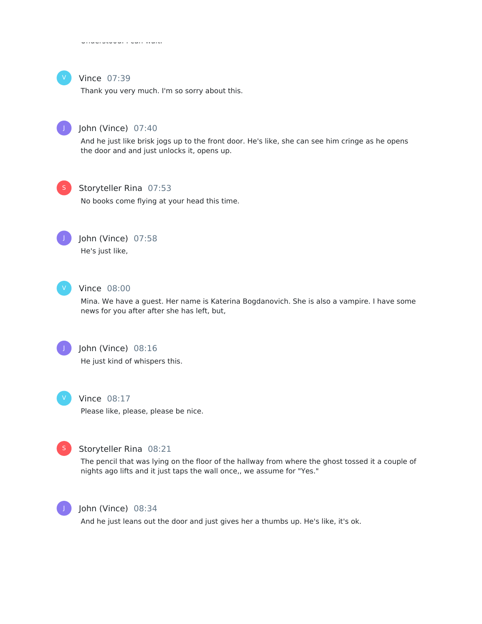

## Vince 07:39

Thank you very much. I'm so sorry about this.



# John (Vince) 07:40

And he just like brisk jogs up to the front door. He's like, she can see him cringe as he opens the door and and just unlocks it, opens up.



#### Storyteller Rina 07:53

No books come flying at your head this time.



# John (Vince) 07:58

He's just like,



#### Vince 08:00

Mina. We have a guest. Her name is Katerina Bogdanovich. She is also a vampire. I have some news for you after after she has left, but,



# John (Vince) 08:16 He just kind of whispers this.



# Vince 08:17

Please like, please, please be nice.



#### Storyteller Rina 08:21

The pencil that was lying on the floor of the hallway from where the ghost tossed it a couple of nights ago lifts and it just taps the wall once,, we assume for "Yes."



# John (Vince) 08:34

And he just leans out the door and just gives her a thumbs up. He's like, it's ok.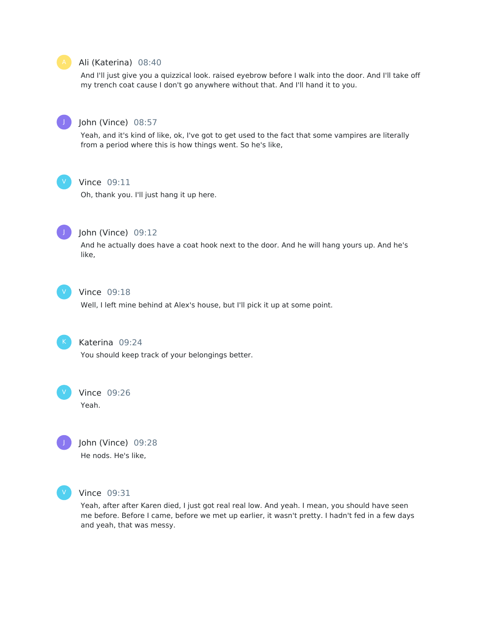

#### Ali (Katerina) 08:40

And I'll just give you a quizzical look. raised eyebrow before I walk into the door. And I'll take off my trench coat cause I don't go anywhere without that. And I'll hand it to you.



# John (Vince) 08:57

Yeah, and it's kind of like, ok, I've got to get used to the fact that some vampires are literally from a period where this is how things went. So he's like,



# Vince 09:11

Oh, thank you. I'll just hang it up here.



## John (Vince) 09:12

And he actually does have a coat hook next to the door. And he will hang yours up. And he's like,



# Vince 09:18

Well, I left mine behind at Alex's house, but I'll pick it up at some point.



# Katerina 09:24

You should keep track of your belongings better.



# Yeah.

J

John (Vince) 09:28 He nods. He's like,



#### Vince 09:31

Yeah, after after Karen died, I just got real real low. And yeah. I mean, you should have seen me before. Before I came, before we met up earlier, it wasn't pretty. I hadn't fed in a few days and yeah, that was messy.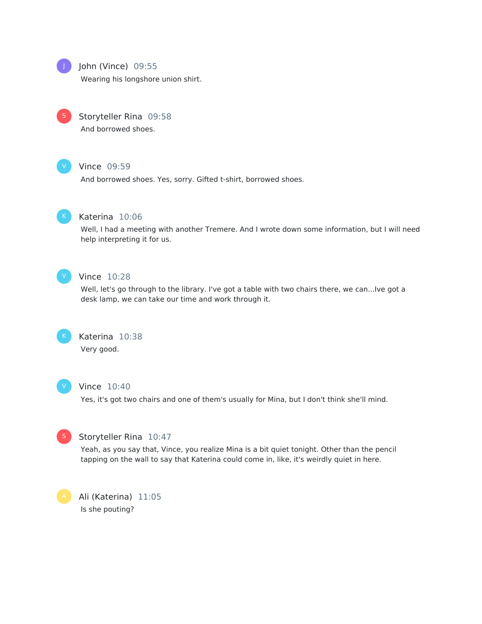

# John (Vince) 09:55

Wearing his longshore union shirt.



# Storyteller Rina 09:58

And borrowed shoes.



# Vince 09:59

And borrowed shoes. Yes, sorry. Gifted t-shirt, borrowed shoes.



#### Katerina 10:06

Well, I had a meeting with another Tremere. And I wrote down some information, but I will need help interpreting it for us.



# Vince 10:28

Well, let's go through to the library. I've got a table with two chairs there, we can...Ive got a desk lamp, we can take our time and work through it.



# Katerina 10:38 Very good.



#### Vince 10:40

Yes, it's got two chairs and one of them's usually for Mina, but I don't think she'll mind.



#### Storyteller Rina 10:47

Yeah, as you say that, Vince, you realize Mina is a bit quiet tonight. Other than the pencil tapping on the wall to say that Katerina could come in, like, it's weirdly quiet in here.

Ali (Katerina) 11:05 Is she pouting?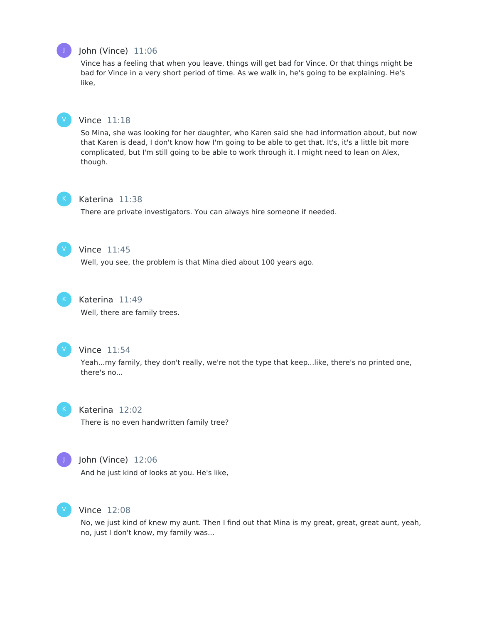

# John (Vince) 11:06

Vince has a feeling that when you leave, things will get bad for Vince. Or that things might be bad for Vince in a very short period of time. As we walk in, he's going to be explaining. He's like,



#### Vince 11:18

So Mina, she was looking for her daughter, who Karen said she had information about, but now that Karen is dead, I don't know how I'm going to be able to get that. It's, it's a little bit more complicated, but I'm still going to be able to work through it. I might need to lean on Alex, though.



#### Katerina 11:38

There are private investigators. You can always hire someone if needed.



# Vince 11:45

Well, you see, the problem is that Mina died about 100 years ago.



## Katerina 11:49

Well, there are family trees.



#### Vince 11:54

Yeah...my family, they don't really, we're not the type that keep...like, there's no printed one, there's no...



#### Katerina 12:02

There is no even handwritten family tree?



# John (Vince) 12:06

And he just kind of looks at you. He's like,



#### Vince 12:08

No, we just kind of knew my aunt. Then I find out that Mina is my great, great, great aunt, yeah, no, just I don't know, my family was...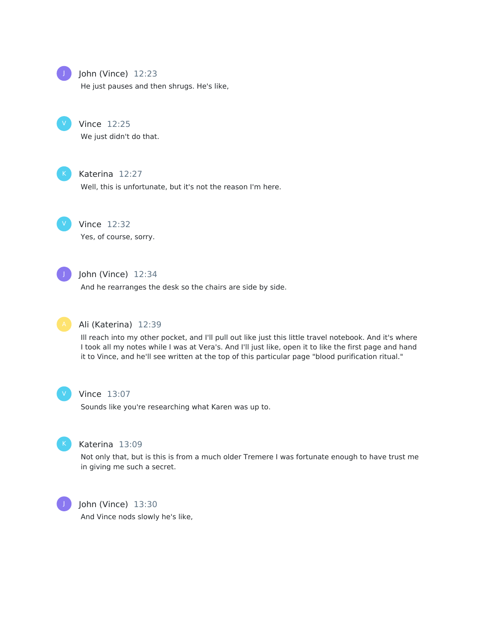

# John (Vince) 12:23

He just pauses and then shrugs. He's like,



# Vince 12:25

We just didn't do that.



# Katerina 12:27

Well, this is unfortunate, but it's not the reason I'm here.



# Vince 12:32

Yes, of course, sorry.



# $j$  John (Vince)  $12:34$

And he rearranges the desk so the chairs are side by side.



#### Ali (Katerina) 12:39

Ill reach into my other pocket, and I'll pull out like just this little travel notebook. And it's where I took all my notes while I was at Vera's. And I'll just like, open it to like the first page and hand it to Vince, and he'll see written at the top of this particular page "blood purification ritual."



#### Vince 13:07

Sounds like you're researching what Karen was up to.



# Katerina 13:09

Not only that, but is this is from a much older Tremere I was fortunate enough to have trust me in giving me such a secret.



#### John (Vince) 13:30

And Vince nods slowly he's like,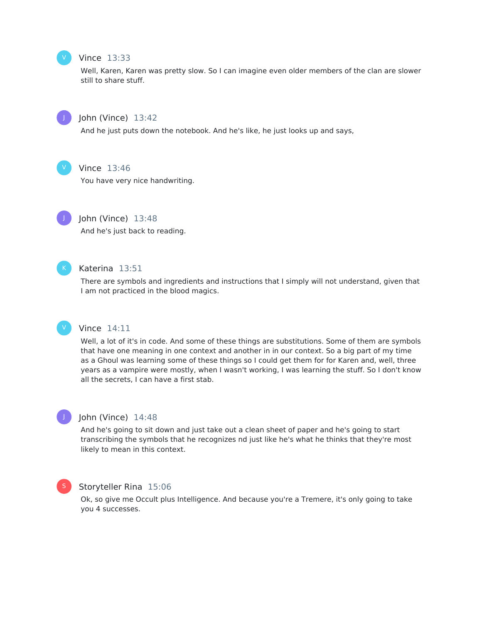# V

# Vince 13:33

Well, Karen, Karen was pretty slow. So I can imagine even older members of the clan are slower still to share stuff.



# John (Vince) 13:42

And he just puts down the notebook. And he's like, he just looks up and says,



# Vince 13:46

You have very nice handwriting.



# John (Vince) 13:48

And he's just back to reading.



V

#### Katerina 13:51

There are symbols and ingredients and instructions that I simply will not understand, given that I am not practiced in the blood magics.

#### Vince 14:11

Well, a lot of it's in code. And some of these things are substitutions. Some of them are symbols that have one meaning in one context and another in in our context. So a big part of my time as a Ghoul was learning some of these things so I could get them for for Karen and, well, three years as a vampire were mostly, when I wasn't working, I was learning the stuff. So I don't know all the secrets, I can have a first stab.



#### John (Vince) 14:48

And he's going to sit down and just take out a clean sheet of paper and he's going to start transcribing the symbols that he recognizes nd just like he's what he thinks that they're most likely to mean in this context.



#### Storyteller Rina 15:06

Ok, so give me Occult plus Intelligence. And because you're a Tremere, it's only going to take you 4 successes.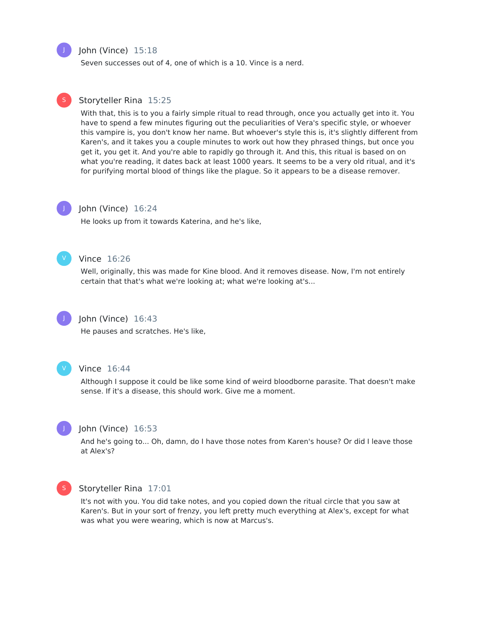

S

#### John (Vince) 15:18

Seven successes out of 4, one of which is a 10. Vince is a nerd.

#### Storyteller Rina 15:25

With that, this is to you a fairly simple ritual to read through, once you actually get into it. You have to spend a few minutes figuring out the peculiarities of Vera's specific style, or whoever this vampire is, you don't know her name. But whoever's style this is, it's slightly different from Karen's, and it takes you a couple minutes to work out how they phrased things, but once you get it, you get it. And you're able to rapidly go through it. And this, this ritual is based on on what you're reading, it dates back at least 1000 years. It seems to be a very old ritual, and it's for purifying mortal blood of things like the plague. So it appears to be a disease remover.

# J

#### John (Vince) 16:24

He looks up from it towards Katerina, and he's like,



#### Vince 16:26

Well, originally, this was made for Kine blood. And it removes disease. Now, I'm not entirely certain that that's what we're looking at; what we're looking at's...



#### John (Vince) 16:43

He pauses and scratches. He's like,



#### Vince 16:44

Although I suppose it could be like some kind of weird bloodborne parasite. That doesn't make sense. If it's a disease, this should work. Give me a moment.



#### John (Vince) 16:53

And he's going to... Oh, damn, do I have those notes from Karen's house? Or did I leave those at Alex's?



#### Storyteller Rina 17:01

It's not with you. You did take notes, and you copied down the ritual circle that you saw at Karen's. But in your sort of frenzy, you left pretty much everything at Alex's, except for what was what you were wearing, which is now at Marcus's.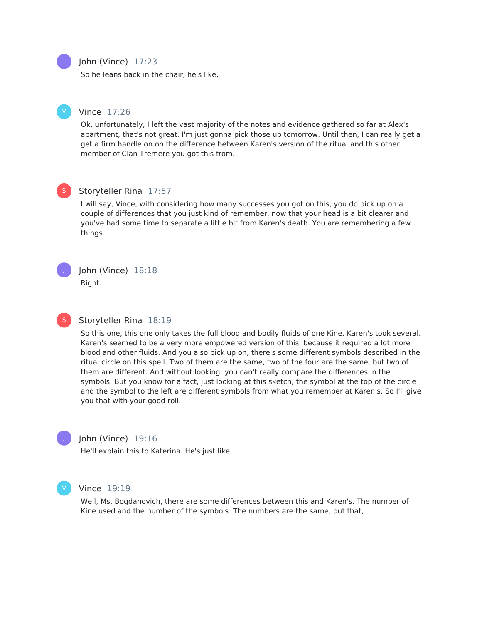# John (Vince) 17:23

So he leans back in the chair, he's like,

# Vince 17:26

Ok, unfortunately, I left the vast majority of the notes and evidence gathered so far at Alex's apartment, that's not great. I'm just gonna pick those up tomorrow. Until then, I can really get a get a firm handle on on the difference between Karen's version of the ritual and this other member of Clan Tremere you got this from.



# Storyteller Rina 17:57

I will say, Vince, with considering how many successes you got on this, you do pick up on a couple of differences that you just kind of remember, now that your head is a bit clearer and you've had some time to separate a little bit from Karen's death. You are remembering a few things.



S

## John (Vince) 18:18 Right.

#### Storyteller Rina 18:19

So this one, this one only takes the full blood and bodily fluids of one Kine. Karen's took several. Karen's seemed to be a very more empowered version of this, because it required a lot more blood and other fluids. And you also pick up on, there's some different symbols described in the ritual circle on this spell. Two of them are the same, two of the four are the same, but two of them are different. And without looking, you can't really compare the differences in the symbols. But you know for a fact, just looking at this sketch, the symbol at the top of the circle and the symbol to the left are different symbols from what you remember at Karen's. So I'll give you that with your good roll.



#### John (Vince) 19:16

He'll explain this to Katerina. He's just like,



#### Vince 19:19

Well, Ms. Bogdanovich, there are some differences between this and Karen's. The number of Kine used and the number of the symbols. The numbers are the same, but that,



V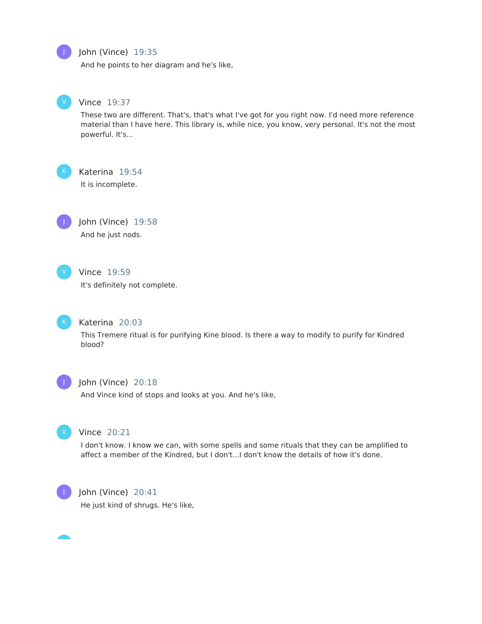

# John (Vince) 19:35

And he points to her diagram and he's like,



#### Vince 19:37

These two are different. That's, that's what I've got for you right now. I'd need more reference material than I have here. This library is, while nice, you know, very personal. It's not the most powerful. It's...

Katerina 19:54 It is incomplete.



John (Vince) 19:58 And he just nods.



# Vince 19:59

It's definitely not complete.



# Katerina 20:03

This Tremere ritual is for purifying Kine blood. Is there a way to modify to purify for Kindred blood?



# John (Vince) 20:18

And Vince kind of stops and looks at you. And he's like,



#### Vince 20:21

I don't know. I know we can, with some spells and some rituals that they can be amplified to affect a member of the Kindred, but I don't...I don't know the details of how it's done.



#### John (Vince) 20:41

He just kind of shrugs. He's like,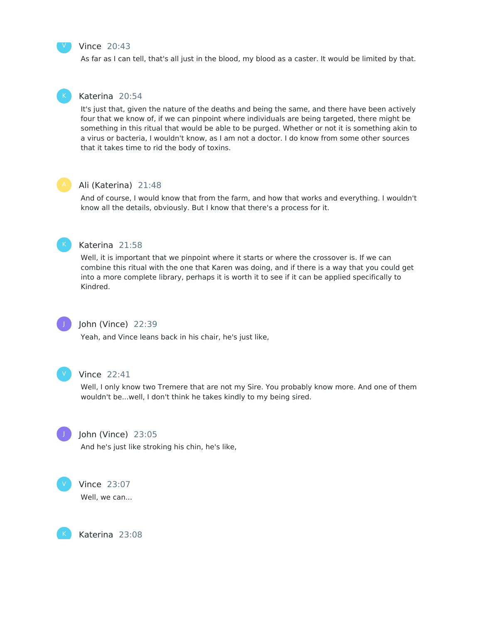#### Vince 20:43

As far as I can tell, that's all just in the blood, my blood as a caster. It would be limited by that.

#### Katerina 20:54

It's just that, given the nature of the deaths and being the same, and there have been actively four that we know of, if we can pinpoint where individuals are being targeted, there might be something in this ritual that would be able to be purged. Whether or not it is something akin to a virus or bacteria, I wouldn't know, as I am not a doctor. I do know from some other sources that it takes time to rid the body of toxins.

V

#### Ali (Katerina) 21:48

And of course, I would know that from the farm, and how that works and everything. I wouldn't know all the details, obviously. But I know that there's a process for it.



#### Katerina 21:58

Well, it is important that we pinpoint where it starts or where the crossover is. If we can combine this ritual with the one that Karen was doing, and if there is a way that you could get into a more complete library, perhaps it is worth it to see if it can be applied specifically to Kindred.



#### John (Vince) 22:39

Yeah, and Vince leans back in his chair, he's just like,



## Vince 22:41

Well, I only know two Tremere that are not my Sire. You probably know more. And one of them wouldn't be...well, I don't think he takes kindly to my being sired.



#### John (Vince) 23:05

And he's just like stroking his chin, he's like,



K

#### Vince 23:07

Well, we can...

Katerina 23:08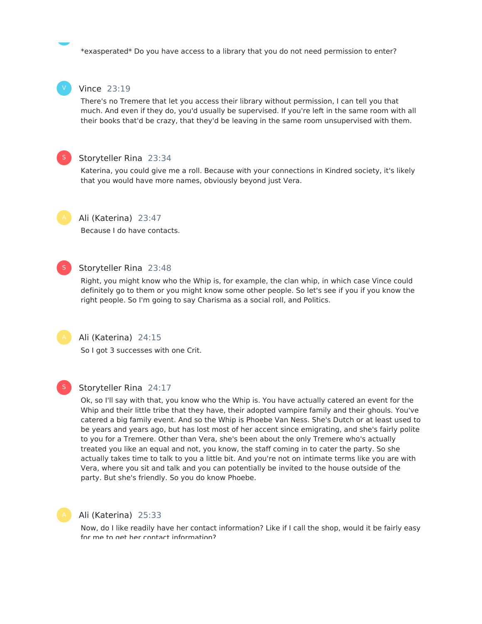\*exasperated\* Do you have access to a library that you do not need permission to enter?



S

## Vince 23:19

There's no Tremere that let you access their library without permission, I can tell you that much. And even if they do, you'd usually be supervised. If you're left in the same room with all their books that'd be crazy, that they'd be leaving in the same room unsupervised with them.

### Storyteller Rina 23:34

Katerina, you could give me a roll. Because with your connections in Kindred society, it's likely that you would have more names, obviously beyond just Vera.



#### Ali (Katerina) 23:47

Because I do have contacts.



#### Storyteller Rina 23:48

Right, you might know who the Whip is, for example, the clan whip, in which case Vince could definitely go to them or you might know some other people. So let's see if you if you know the right people. So I'm going to say Charisma as a social roll, and Politics.



Ali (Katerina) 24:15

So I got 3 successes with one Crit.



# Storyteller Rina 24:17

Ok, so I'll say with that, you know who the Whip is. You have actually catered an event for the Whip and their little tribe that they have, their adopted vampire family and their ghouls. You've catered a big family event. And so the Whip is Phoebe Van Ness. She's Dutch or at least used to be years and years ago, but has lost most of her accent since emigrating, and she's fairly polite to you for a Tremere. Other than Vera, she's been about the only Tremere who's actually treated you like an equal and not, you know, the staff coming in to cater the party. So she actually takes time to talk to you a little bit. And you're not on intimate terms like you are with Vera, where you sit and talk and you can potentially be invited to the house outside of the party. But she's friendly. So you do know Phoebe.



#### Ali (Katerina) 25:33

Now, do I like readily have her contact information? Like if I call the shop, would it be fairly easy for me to get her contact information?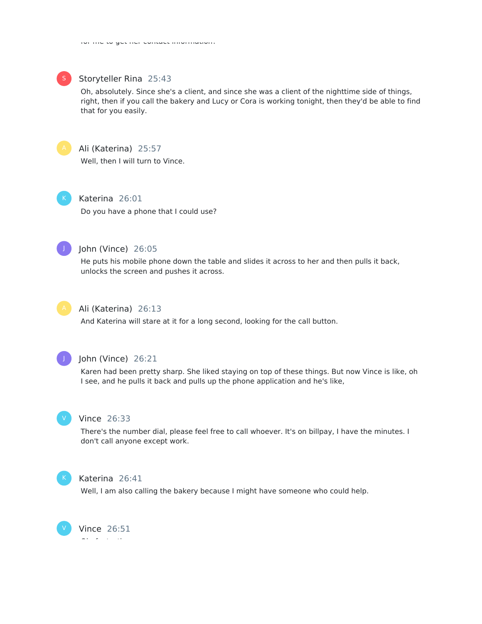for me to get her contact information?



#### Storyteller Rina 25:43

Oh, absolutely. Since she's a client, and since she was a client of the nighttime side of things, right, then if you call the bakery and Lucy or Cora is working tonight, then they'd be able to find that for you easily.



# Ali (Katerina) 25:57

Well, then I will turn to Vince.

Katerina 26:01 Do you have a phone that I could use?



## John (Vince) 26:05

He puts his mobile phone down the table and slides it across to her and then pulls it back, unlocks the screen and pushes it across.



# Ali (Katerina) 26:13

And Katerina will stare at it for a long second, looking for the call button.



#### John (Vince) 26:21

Karen had been pretty sharp. She liked staying on top of these things. But now Vince is like, oh I see, and he pulls it back and pulls up the phone application and he's like,



#### Vince 26:33

There's the number dial, please feel free to call whoever. It's on billpay, I have the minutes. I don't call anyone except work.



#### Katerina 26:41

Well, I am also calling the bakery because I might have someone who could help.

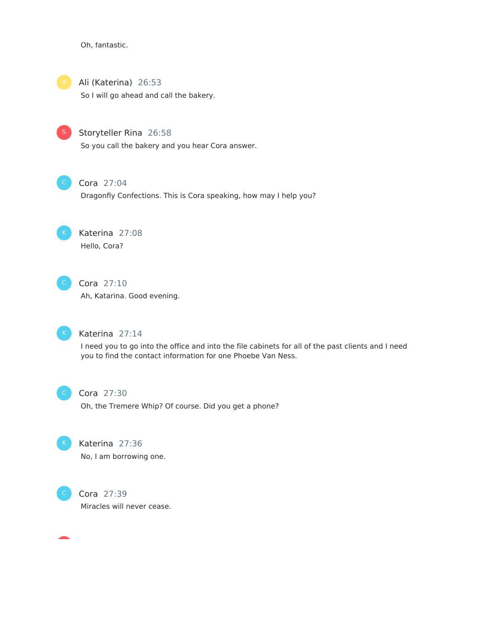Oh, fantastic.



Ali (Katerina) 26:53

So I will go ahead and call the bakery.



Storyteller Rina 26:58

So you call the bakery and you hear Cora answer.



# Cora 27:04

Dragonfly Confections. This is Cora speaking, how may I help you?



# Katerina 27:08 Hello, Cora?



# Cora 27:10

Ah, Katarina. Good evening.



# Katerina 27:14

I need you to go into the office and into the file cabinets for all of the past clients and I need you to find the contact information for one Phoebe Van Ness.



## Cora 27:30

Oh, the Tremere Whip? Of course. Did you get a phone?



# Katerina 27:36 No, I am borrowing one.



Cora 27:39 Miracles will never cease.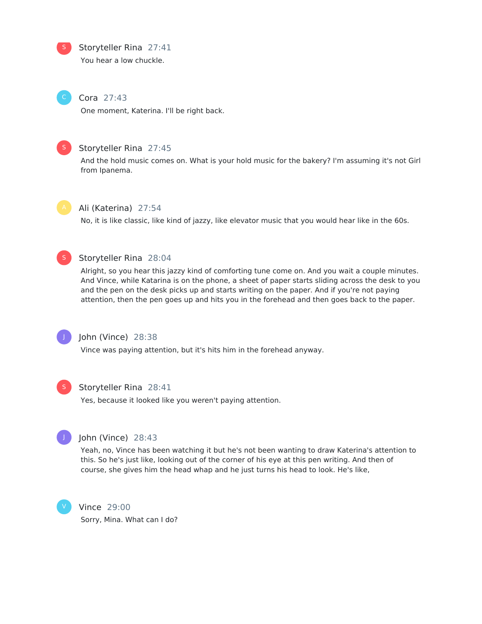Storyteller Rina 27:41 S

You hear a low chuckle.

# Cora 27:43

One moment, Katerina. I'll be right back.



# Storyteller Rina 27:45

And the hold music comes on. What is your hold music for the bakery? I'm assuming it's not Girl from Ipanema.



#### Ali (Katerina) 27:54

No, it is like classic, like kind of jazzy, like elevator music that you would hear like in the 60s.



# Storyteller Rina 28:04

Alright, so you hear this jazzy kind of comforting tune come on. And you wait a couple minutes. And Vince, while Katarina is on the phone, a sheet of paper starts sliding across the desk to you and the pen on the desk picks up and starts writing on the paper. And if you're not paying attention, then the pen goes up and hits you in the forehead and then goes back to the paper.



# John (Vince) 28:38

Vince was paying attention, but it's hits him in the forehead anyway.



#### Storyteller Rina 28:41

Yes, because it looked like you weren't paying attention.



# John (Vince) 28:43

Yeah, no, Vince has been watching it but he's not been wanting to draw Katerina's attention to this. So he's just like, looking out of the corner of his eye at this pen writing. And then of course, she gives him the head whap and he just turns his head to look. He's like,



# Vince 29:00

Sorry, Mina. What can I do?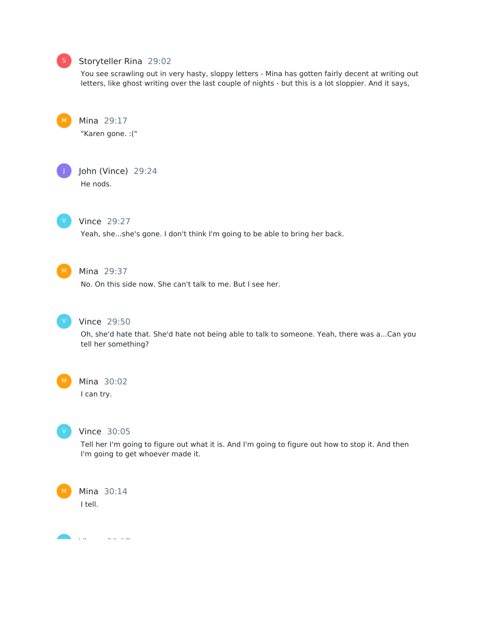# Storyteller Rina 29:02

You see scrawling out in very hasty, sloppy letters - Mina has gotten fairly decent at writing out letters, like ghost writing over the last couple of nights - but this is a lot sloppier. And it says,

Mina 29:17 "Karen gone. :("

J

John (Vince) 29:24 He nods.

V

### Vince 29:27

Yeah, she...she's gone. I don't think I'm going to be able to bring her back.



# Mina 29:37

No. On this side now. She can't talk to me. But I see her.



#### Vince 29:50

Oh, she'd hate that. She'd hate not being able to talk to someone. Yeah, there was a...Can you tell her something?



# Mina 30:02

I can try.



#### Vince 30:05

Tell her I'm going to figure out what it is. And I'm going to figure out how to stop it. And then I'm going to get whoever made it.



Mina 30:14

I tell.

Vince 30:17 V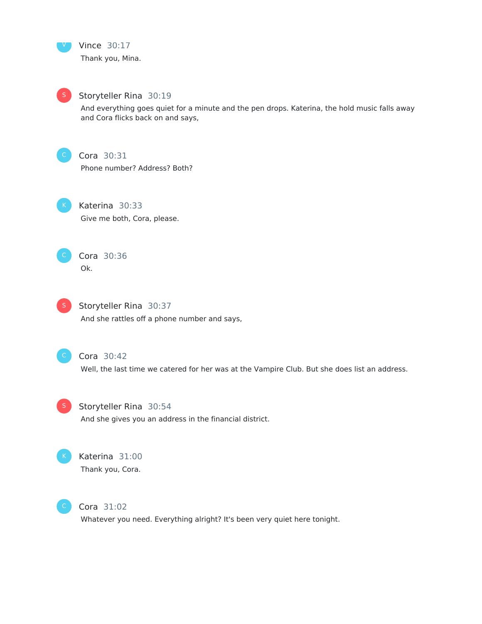



# Storyteller Rina 30:19

And everything goes quiet for a minute and the pen drops. Katerina, the hold music falls away and Cora flicks back on and says,



# Cora 30:31

Phone number? Address? Both?



Katerina 30:33 Give me both, Cora, please.



Cora 30:36 Ok.



**S** Storyteller Rina 30:37 And she rattles off a phone number and says,



## Cora 30:42

Well, the last time we catered for her was at the Vampire Club. But she does list an address.



**S** Storyteller Rina 30:54

And she gives you an address in the financial district.



# Katerina 31:00 Thank you, Cora.



Cora 31:02

Whatever you need. Everything alright? It's been very quiet here tonight.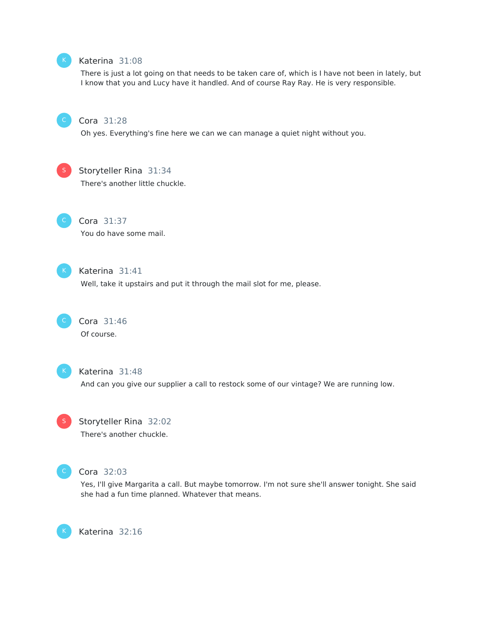

# Katerina 31:08

There is just a lot going on that needs to be taken care of, which is I have not been in lately, but I know that you and Lucy have it handled. And of course Ray Ray. He is very responsible.



#### Cora 31:28

Oh yes. Everything's fine here we can we can manage a quiet night without you.



Storyteller Rina 31:34

There's another little chuckle.



# Cora 31:37

You do have some mail.



# Katerina 31:41

Well, take it upstairs and put it through the mail slot for me, please.



Cora 31:46 Of course.



#### Katerina 31:48

And can you give our supplier a call to restock some of our vintage? We are running low.



# S Storyteller Rina 32:02 There's another chuckle.



K

#### Cora 32:03

Yes, I'll give Margarita a call. But maybe tomorrow. I'm not sure she'll answer tonight. She said she had a fun time planned. Whatever that means.

Katerina 32:16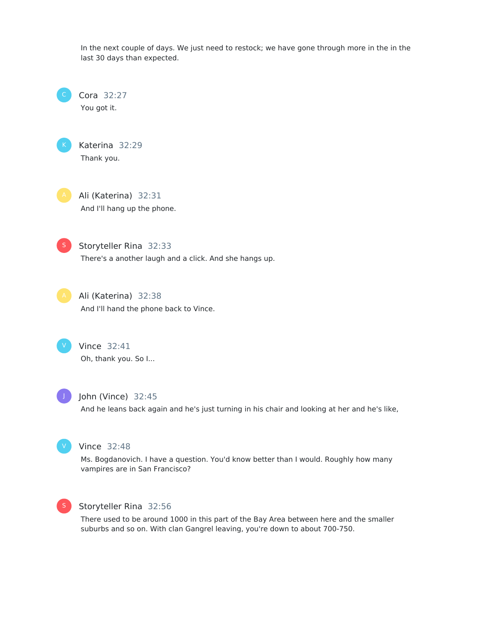In the next couple of days. We just need to restock; we have gone through more in the in the last 30 days than expected.

Cora 32:27 You got it.



Katerina 32:29 Thank you.



Ali (Katerina) 32:31 And I'll hang up the phone.



Storyteller Rina 32:33

There's a another laugh and a click. And she hangs up.

Ali (Katerina) 32:38 And I'll hand the phone back to Vince.



Vince 32:41 Oh, thank you. So I...



John (Vince) 32:45

And he leans back again and he's just turning in his chair and looking at her and he's like,



# Vince 32:48

Ms. Bogdanovich. I have a question. You'd know better than I would. Roughly how many vampires are in San Francisco?



# Storyteller Rina 32:56

There used to be around 1000 in this part of the Bay Area between here and the smaller suburbs and so on. With clan Gangrel leaving, you're down to about 700-750.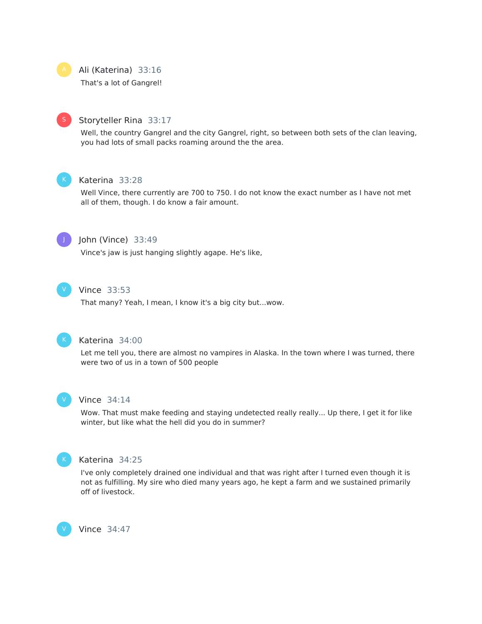

#### Ali (Katerina) 33:16

That's a lot of Gangrel!



#### Storyteller Rina 33:17

Well, the country Gangrel and the city Gangrel, right, so between both sets of the clan leaving, you had lots of small packs roaming around the the area.



## Katerina 33:28

Well Vince, there currently are 700 to 750. I do not know the exact number as I have not met all of them, though. I do know a fair amount.



#### John (Vince) 33:49

Vince's jaw is just hanging slightly agape. He's like,



# Vince 33:53

That many? Yeah, I mean, I know it's a big city but...wow.



#### Katerina 34:00

Let me tell you, there are almost no vampires in Alaska. In the town where I was turned, there were two of us in a town of 500 people



#### Vince 34:14

Wow. That must make feeding and staying undetected really really... Up there, I get it for like winter, but like what the hell did you do in summer?



V

#### Katerina 34:25

I've only completely drained one individual and that was right after I turned even though it is not as fulfilling. My sire who died many years ago, he kept a farm and we sustained primarily off of livestock.

Vince 34:47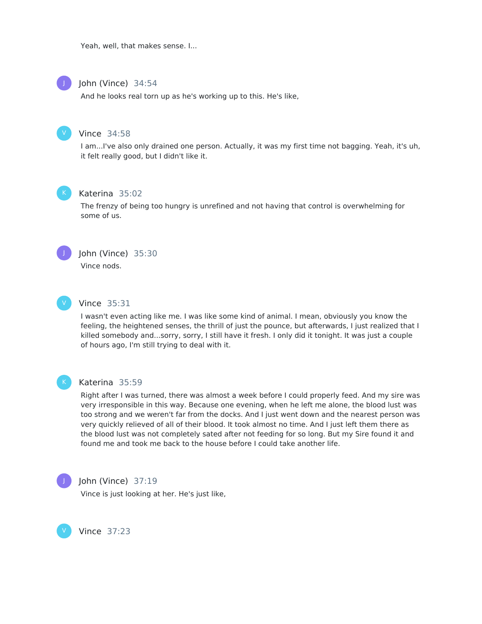Yeah, well, that makes sense. I...



#### John (Vince) 34:54

And he looks real torn up as he's working up to this. He's like,



#### Vince 34:58

I am...I've also only drained one person. Actually, it was my first time not bagging. Yeah, it's uh, it felt really good, but I didn't like it.



#### Katerina 35:02

The frenzy of being too hungry is unrefined and not having that control is overwhelming for some of us.



#### John (Vince) 35:30

Vince nods.



# Vince 35:31

I wasn't even acting like me. I was like some kind of animal. I mean, obviously you know the feeling, the heightened senses, the thrill of just the pounce, but afterwards, I just realized that I killed somebody and...sorry, sorry, I still have it fresh. I only did it tonight. It was just a couple of hours ago, I'm still trying to deal with it.



#### Katerina 35:59

Right after I was turned, there was almost a week before I could properly feed. And my sire was very irresponsible in this way. Because one evening, when he left me alone, the blood lust was too strong and we weren't far from the docks. And I just went down and the nearest person was very quickly relieved of all of their blood. It took almost no time. And I just left them there as the blood lust was not completely sated after not feeding for so long. But my Sire found it and found me and took me back to the house before I could take another life.



V

#### John (Vince) 37:19

Vince is just looking at her. He's just like,

Vince 37:23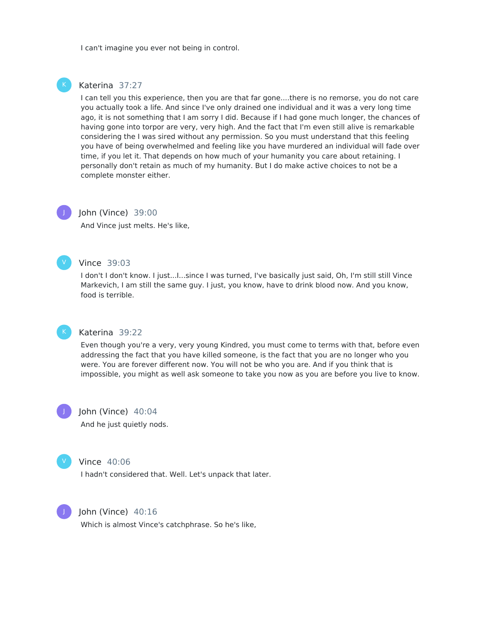I can't imagine you ever not being in control.



#### Katerina 37:27

I can tell you this experience, then you are that far gone....there is no remorse, you do not care you actually took a life. And since I've only drained one individual and it was a very long time ago, it is not something that I am sorry I did. Because if I had gone much longer, the chances of having gone into torpor are very, very high. And the fact that I'm even still alive is remarkable considering the I was sired without any permission. So you must understand that this feeling you have of being overwhelmed and feeling like you have murdered an individual will fade over time, if you let it. That depends on how much of your humanity you care about retaining. I personally don't retain as much of my humanity. But I do make active choices to not be a complete monster either.

# J

#### John (Vince) 39:00

And Vince just melts. He's like,

#### V

#### Vince 39:03

I don't I don't know. I just...I...since I was turned, I've basically just said, Oh, I'm still still Vince Markevich, I am still the same guy. I just, you know, have to drink blood now. And you know, food is terrible.



#### Katerina 39:22

Even though you're a very, very young Kindred, you must come to terms with that, before even addressing the fact that you have killed someone, is the fact that you are no longer who you were. You are forever different now. You will not be who you are. And if you think that is impossible, you might as well ask someone to take you now as you are before you live to know.

John (Vince) 40:04 And he just quietly nods.



J

#### Vince 40:06

I hadn't considered that. Well. Let's unpack that later.



#### John (Vince) 40:16

Which is almost Vince's catchphrase. So he's like,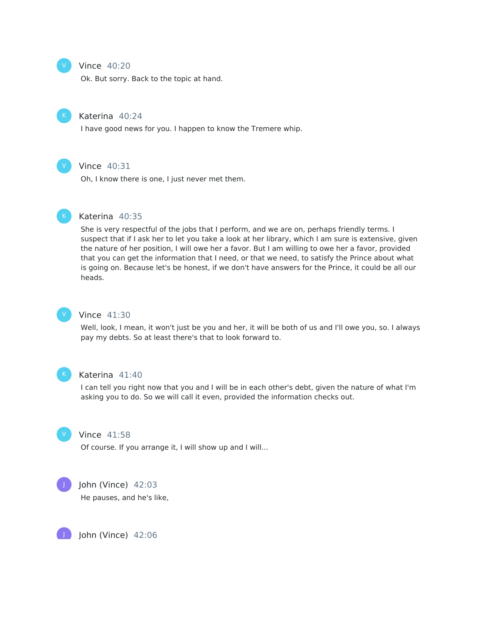#### Vince 40:20

Ok. But sorry. Back to the topic at hand.



V

#### Katerina 40:24

I have good news for you. I happen to know the Tremere whip.



# Vince 40:31

Oh, I know there is one, I just never met them.



#### Katerina 40:35

She is very respectful of the jobs that I perform, and we are on, perhaps friendly terms. I suspect that if I ask her to let you take a look at her library, which I am sure is extensive, given the nature of her position, I will owe her a favor. But I am willing to owe her a favor, provided that you can get the information that I need, or that we need, to satisfy the Prince about what is going on. Because let's be honest, if we don't have answers for the Prince, it could be all our heads.



#### Vince 41:30

Well, look, I mean, it won't just be you and her, it will be both of us and I'll owe you, so. I always pay my debts. So at least there's that to look forward to.



#### Katerina 41:40

I can tell you right now that you and I will be in each other's debt, given the nature of what I'm asking you to do. So we will call it even, provided the information checks out.



#### Vince 41:58

Of course. If you arrange it, I will show up and I will...



#### John (Vince) 42:03

He pauses, and he's like,

John (Vince) 42:06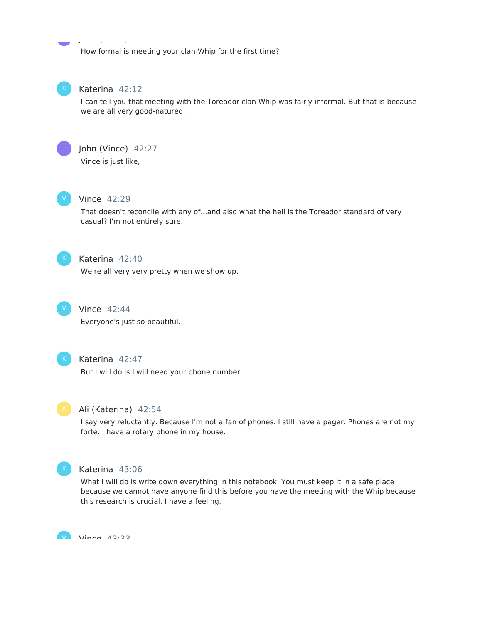How formal is meeting your clan Whip for the first time?



# Katerina 42:12

John (Vince) 42:06

I can tell you that meeting with the Toreador clan Whip was fairly informal. But that is because we are all very good-natured.



# John (Vince) 42:27

Vince is just like,



# Vince 42:29

That doesn't reconcile with any of...and also what the hell is the Toreador standard of very casual? I'm not entirely sure.



# Katerina 42:40

We're all very very pretty when we show up.



# Vince 42:44

Everyone's just so beautiful.



## Katerina 42:47

But I will do is I will need your phone number.



#### Ali (Katerina) 42:54

I say very reluctantly. Because I'm not a fan of phones. I still have a pager. Phones are not my forte. I have a rotary phone in my house.



#### Katerina 43:06

What I will do is write down everything in this notebook. You must keep it in a safe place because we cannot have anyone find this before you have the meeting with the Whip because this research is crucial. I have a feeling.

V *Vince 1*2.33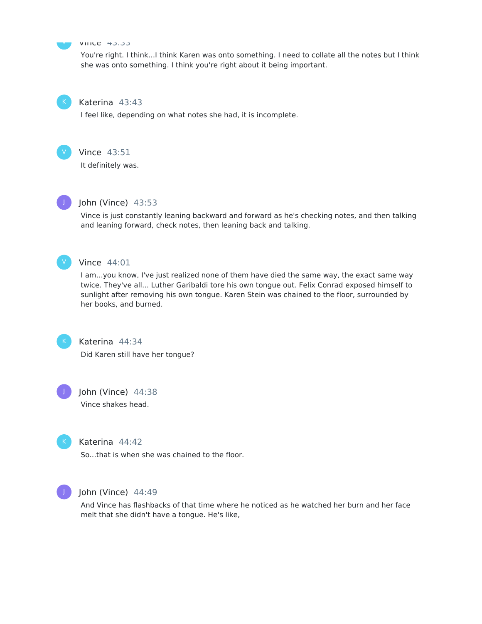# V

#### Vince 43:33

You're right. I think...I think Karen was onto something. I need to collate all the notes but I think she was onto something. I think you're right about it being important.



#### Katerina 43:43

I feel like, depending on what notes she had, it is incomplete.



# Vince 43:51

It definitely was.



#### John (Vince) 43:53

Vince is just constantly leaning backward and forward as he's checking notes, and then talking and leaning forward, check notes, then leaning back and talking.



#### Vince 44:01

I am...you know, I've just realized none of them have died the same way, the exact same way twice. They've all... Luther Garibaldi tore his own tongue out. Felix Conrad exposed himself to sunlight after removing his own tongue. Karen Stein was chained to the floor, surrounded by her books, and burned.



Katerina 44:34 Did Karen still have her tongue?



John (Vince) 44:38 Vince shakes head.



# Katerina 44:42

So...that is when she was chained to the floor.



#### John (Vince) 44:49

And Vince has flashbacks of that time where he noticed as he watched her burn and her face melt that she didn't have a tongue. He's like,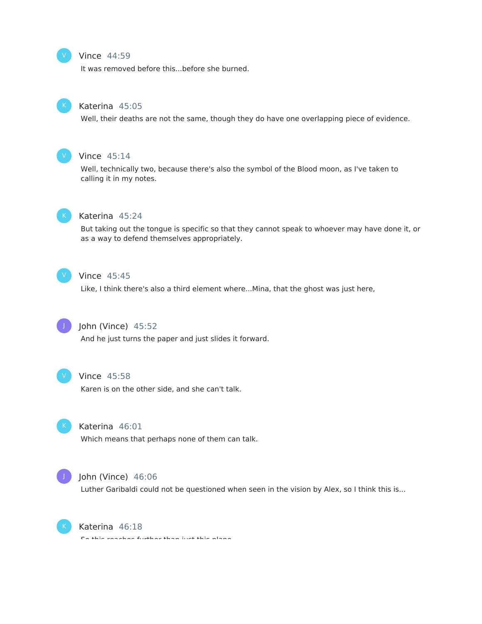#### Vince 44:59

It was removed before this...before she burned.



V

#### Katerina 45:05

Well, their deaths are not the same, though they do have one overlapping piece of evidence.



#### Vince 45:14

Well, technically two, because there's also the symbol of the Blood moon, as I've taken to calling it in my notes.



#### Katerina 45:24

But taking out the tongue is specific so that they cannot speak to whoever may have done it, or as a way to defend themselves appropriately.



#### Vince 45:45

Like, I think there's also a third element where...Mina, that the ghost was just here,



# John (Vince) 45:52

And he just turns the paper and just slides it forward.



#### Vince 45:58

Karen is on the other side, and she can't talk.



# Katerina 46:01

Which means that perhaps none of them can talk.



#### John (Vince) 46:06

Luther Garibaldi could not be questioned when seen in the vision by Alex, so I think this is...



#### Katerina 46:18

So this reaches further than just this plane.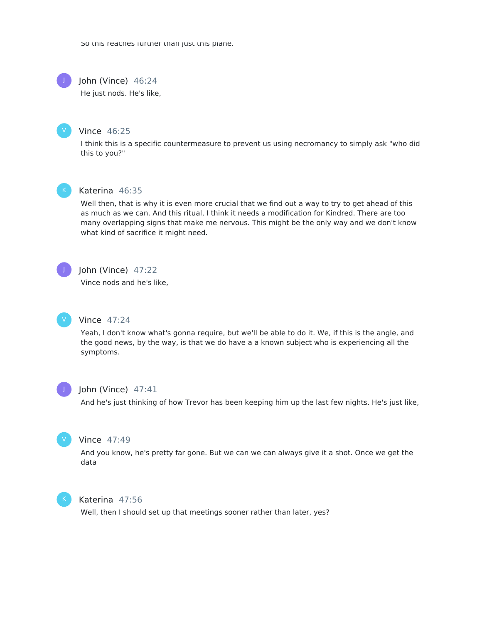So this reaches further than just this plane.



V

John (Vince) 46:24

He just nods. He's like,

#### Vince 46:25

I think this is a specific countermeasure to prevent us using necromancy to simply ask "who did this to you?"



# Katerina 46:35

Well then, that is why it is even more crucial that we find out a way to try to get ahead of this as much as we can. And this ritual, I think it needs a modification for Kindred. There are too many overlapping signs that make me nervous. This might be the only way and we don't know what kind of sacrifice it might need.



#### John (Vince) 47:22

Vince nods and he's like,



#### Vince 47:24

Yeah, I don't know what's gonna require, but we'll be able to do it. We, if this is the angle, and the good news, by the way, is that we do have a a known subject who is experiencing all the symptoms.



#### John (Vince) 47:41

And he's just thinking of how Trevor has been keeping him up the last few nights. He's just like,



# Vince 47:49

And you know, he's pretty far gone. But we can we can always give it a shot. Once we get the data



#### Katerina 47:56

Well, then I should set up that meetings sooner rather than later, yes?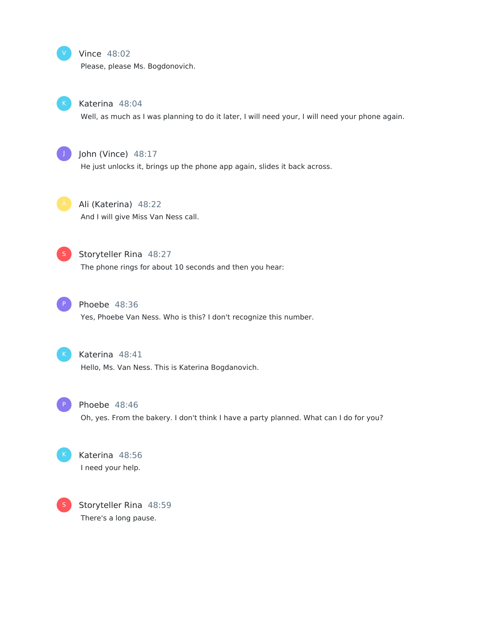#### Vince 48:02

Please, please Ms. Bogdonovich.



V

#### Katerina 48:04

Well, as much as I was planning to do it later, I will need your, I will need your phone again.



# John (Vince) 48:17

He just unlocks it, brings up the phone app again, slides it back across.



# Ali (Katerina) 48:22 And I will give Miss Van Ness call.



# Storyteller Rina 48:27

The phone rings for about 10 seconds and then you hear:



# Phoebe 48:36

Yes, Phoebe Van Ness. Who is this? I don't recognize this number.



## Katerina 48:41

Hello, Ms. Van Ness. This is Katerina Bogdanovich.



# Phoebe 48:46

Oh, yes. From the bakery. I don't think I have a party planned. What can I do for you?



# Katerina 48:56 I need your help.

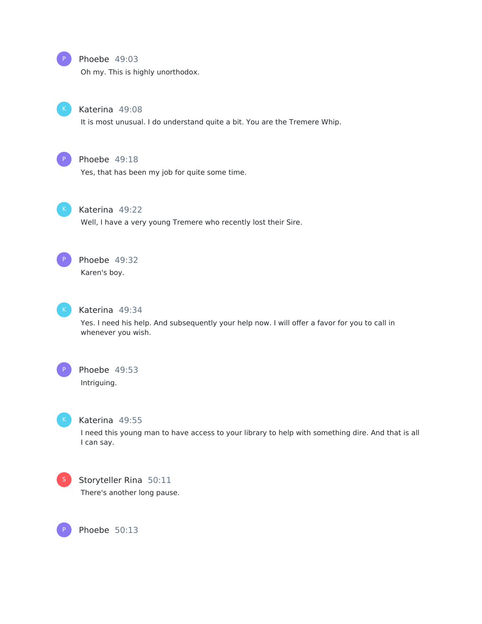

#### Phoebe 49:03

Oh my. This is highly unorthodox.



# Katerina 49:08

It is most unusual. I do understand quite a bit. You are the Tremere Whip.



#### Phoebe 49:18

Yes, that has been my job for quite some time.



# Katerina 49:22

Well, I have a very young Tremere who recently lost their Sire.



# Phoebe 49:32

Karen's boy.



#### Katerina 49:34

Yes. I need his help. And subsequently your help now. I will offer a favor for you to call in whenever you wish.



#### Phoebe 49:53

Intriguing.



#### Katerina 49:55

I need this young man to have access to your library to help with something dire. And that is all I can say.



P

# Storyteller Rina 50:11

There's another long pause.

Phoebe 50:13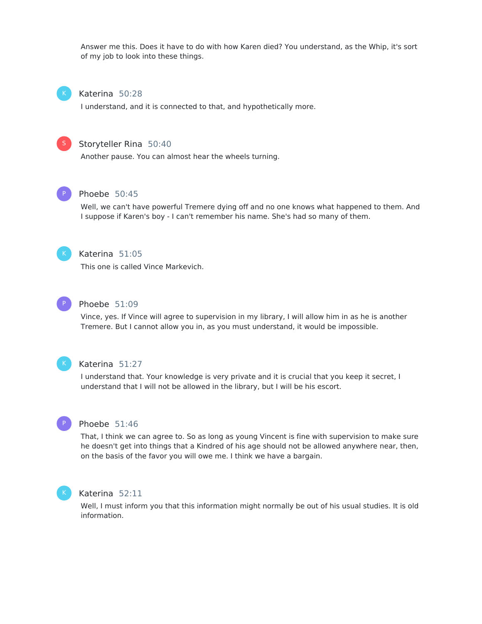Answer me this. Does it have to do with how Karen died? You understand, as the Whip, it's sort of my job to look into these things.



#### Katerina 50:28

I understand, and it is connected to that, and hypothetically more.



#### Storyteller Rina 50:40

Another pause. You can almost hear the wheels turning.



#### Phoebe 50:45

Well, we can't have powerful Tremere dying off and no one knows what happened to them. And I suppose if Karen's boy - I can't remember his name. She's had so many of them.



# Katerina 51:05

This one is called Vince Markevich.



## Phoebe 51:09

Vince, yes. If Vince will agree to supervision in my library, I will allow him in as he is another Tremere. But I cannot allow you in, as you must understand, it would be impossible.



#### Katerina 51:27

I understand that. Your knowledge is very private and it is crucial that you keep it secret, I understand that I will not be allowed in the library, but I will be his escort.



#### Phoebe 51:46

That, I think we can agree to. So as long as young Vincent is fine with supervision to make sure he doesn't get into things that a Kindred of his age should not be allowed anywhere near, then, on the basis of the favor you will owe me. I think we have a bargain.



#### Katerina 52:11

Well, I must inform you that this information might normally be out of his usual studies. It is old information.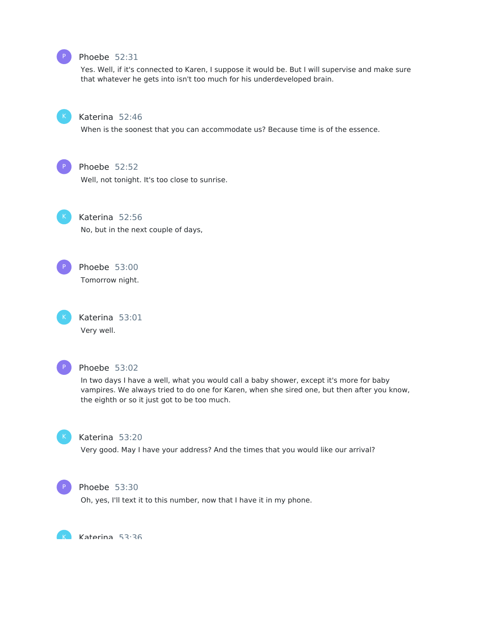

# Phoebe 52:31

Yes. Well, if it's connected to Karen, I suppose it would be. But I will supervise and make sure that whatever he gets into isn't too much for his underdeveloped brain.



## Katerina 52:46

When is the soonest that you can accommodate us? Because time is of the essence.



# Phoebe 52:52

Well, not tonight. It's too close to sunrise.

Katerina 52:56 No, but in the next couple of days,



Phoebe 53:00 Tomorrow night.

Katerina 53:01 Very well.



#### Phoebe 53:02

In two days I have a well, what you would call a baby shower, except it's more for baby vampires. We always tried to do one for Karen, when she sired one, but then after you know, the eighth or so it just got to be too much.



# Katerina 53:20

Very good. May I have your address? And the times that you would like our arrival?



K

#### Phoebe 53:30

Oh, yes, I'll text it to this number, now that I have it in my phone.

Katerina 53:36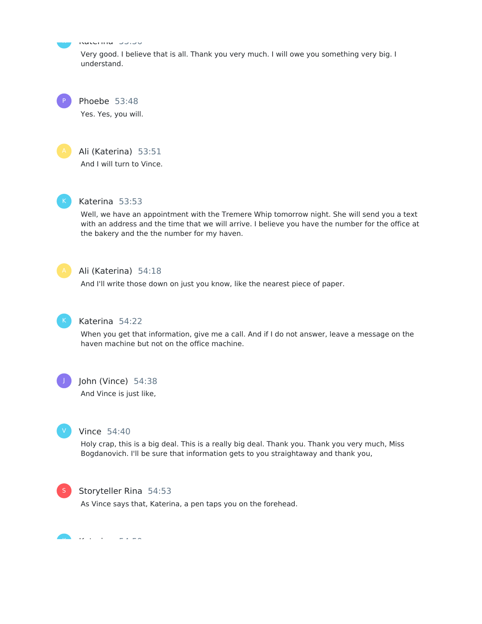Katerina 53:36

Very good. I believe that is all. Thank you very much. I will owe you something very big. I understand.

Phoebe 53:48

Yes. Yes, you will.



K

P

# Ali (Katerina) 53:51

And I will turn to Vince.



# Katerina 53:53

Well, we have an appointment with the Tremere Whip tomorrow night. She will send you a text with an address and the time that we will arrive. I believe you have the number for the office at the bakery and the the number for my haven.



# Ali (Katerina) 54:18

And I'll write those down on just you know, like the nearest piece of paper.



# Katerina 54:22

When you get that information, give me a call. And if I do not answer, leave a message on the haven machine but not on the office machine.



## John (Vince) 54:38

And Vince is just like,



#### Vince 54:40

Holy crap, this is a big deal. This is a really big deal. Thank you. Thank you very much, Miss Bogdanovich. I'll be sure that information gets to you straightaway and thank you,



## Storyteller Rina 54:53

As Vince says that, Katerina, a pen taps you on the forehead.

Katerina 54:59 K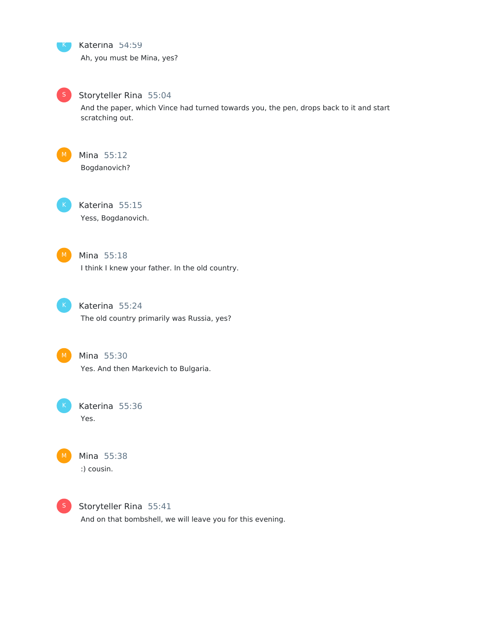Katerina 54:59 Ah, you must be Mina, yes?



K

Storyteller Rina 55:04

And the paper, which Vince had turned towards you, the pen, drops back to it and start scratching out.



Mina 55:12 Bogdanovich?



Katerina 55:15 Yess, Bogdanovich.



Mina 55:18 I think I knew your father. In the old country.



Katerina 55:24 The old country primarily was Russia, yes?



Mina 55:30 Yes. And then Markevich to Bulgaria.

Katerina 55:36 Yes.



Mina 55:38 :) cousin.



Storyteller Rina 55:41 And on that bombshell, we will leave you for this evening.